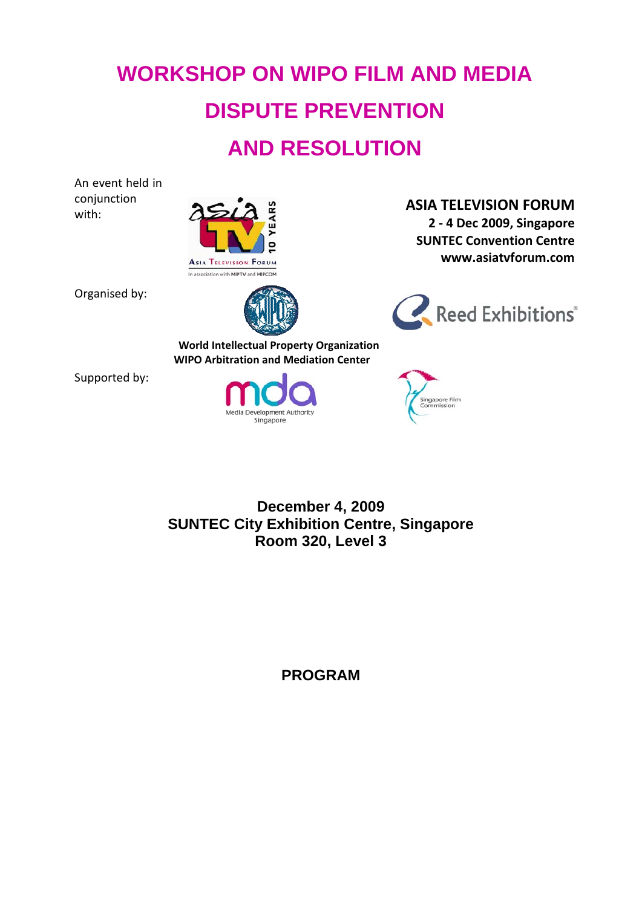# **WORKSHOP ON WIPO FILM AND MEDIA DISPUTE PREVENTION AND RESOLUTION**

An event held in conjunction



Organised by:



Reed Exhibitions®

**2 ‐ 4 Dec 2009, Singapore SUNTEC Convention Centre www.asiatvforum.com**

**World Intellectual Property Organization WIPO Arbitration and Mediation Center**

Supported by:





**December 4, 2009 SUNTEC City Exhibition Centre, Singapore Room 320, Level 3** 

**PROGRAM**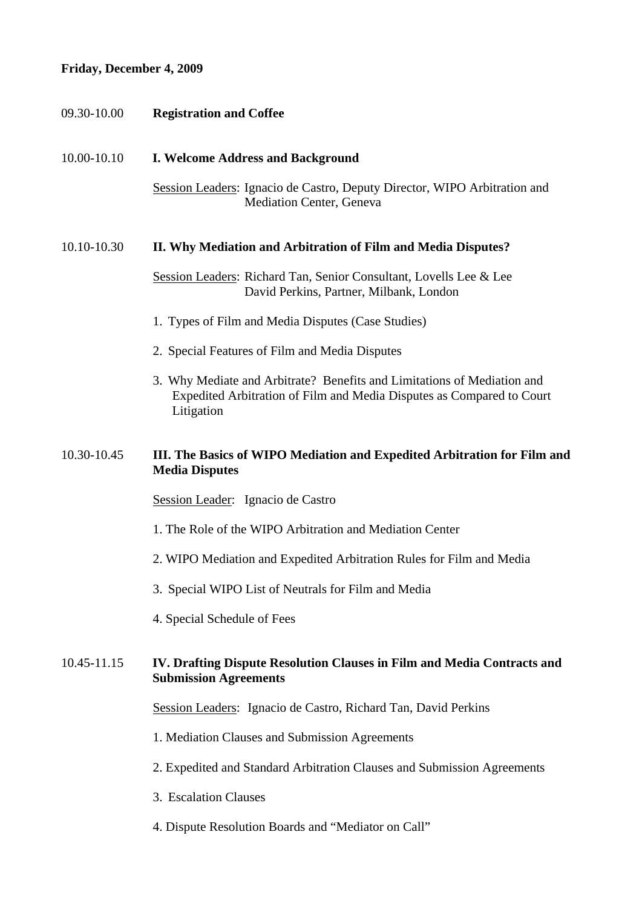# **Friday, December 4, 2009**

| 09.30-10.00 | <b>Registration and Coffee</b>                                                                                                                                 |  |
|-------------|----------------------------------------------------------------------------------------------------------------------------------------------------------------|--|
| 10.00-10.10 | <b>I. Welcome Address and Background</b>                                                                                                                       |  |
|             | Session Leaders: Ignacio de Castro, Deputy Director, WIPO Arbitration and<br>Mediation Center, Geneva                                                          |  |
| 10.10-10.30 | II. Why Mediation and Arbitration of Film and Media Disputes?                                                                                                  |  |
|             | Session Leaders: Richard Tan, Senior Consultant, Lovells Lee & Lee<br>David Perkins, Partner, Milbank, London                                                  |  |
|             | 1. Types of Film and Media Disputes (Case Studies)                                                                                                             |  |
|             | 2. Special Features of Film and Media Disputes                                                                                                                 |  |
|             | 3. Why Mediate and Arbitrate? Benefits and Limitations of Mediation and<br>Expedited Arbitration of Film and Media Disputes as Compared to Court<br>Litigation |  |
| 10.30-10.45 | III. The Basics of WIPO Mediation and Expedited Arbitration for Film and<br><b>Media Disputes</b>                                                              |  |
|             | Session Leader: Ignacio de Castro                                                                                                                              |  |
|             | 1. The Role of the WIPO Arbitration and Mediation Center                                                                                                       |  |
|             | 2. WIPO Mediation and Expedited Arbitration Rules for Film and Media                                                                                           |  |
|             | 3. Special WIPO List of Neutrals for Film and Media                                                                                                            |  |
|             | 4. Special Schedule of Fees                                                                                                                                    |  |
| 10.45-11.15 | IV. Drafting Dispute Resolution Clauses in Film and Media Contracts and<br><b>Submission Agreements</b>                                                        |  |
|             | Session Leaders: Ignacio de Castro, Richard Tan, David Perkins                                                                                                 |  |
|             | 1. Mediation Clauses and Submission Agreements                                                                                                                 |  |
|             | 2. Expedited and Standard Arbitration Clauses and Submission Agreements                                                                                        |  |
|             | 3. Escalation Clauses                                                                                                                                          |  |
|             | 4. Dispute Resolution Boards and "Mediator on Call"                                                                                                            |  |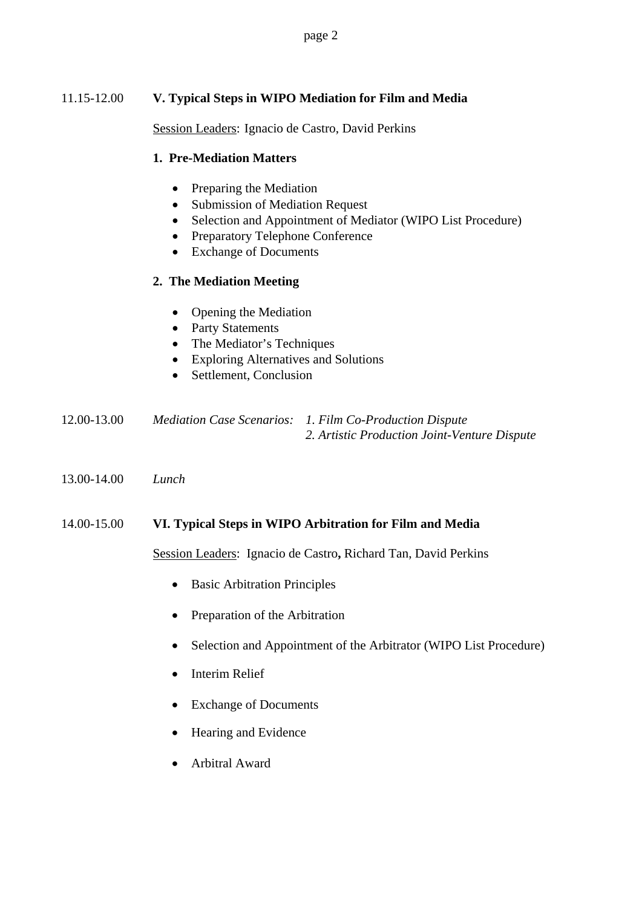page 2

## 11.15-12.00 **V. Typical Steps in WIPO Mediation for Film and Media**

Session Leaders: Ignacio de Castro, David Perkins

#### **1. Pre-Mediation Matters**

- Preparing the Mediation
- Submission of Mediation Request
- Selection and Appointment of Mediator (WIPO List Procedure)
- Preparatory Telephone Conference
- Exchange of Documents

#### **2. The Mediation Meeting**

- Opening the Mediation
- Party Statements
- The Mediator's Techniques
- Exploring Alternatives and Solutions
- Settlement, Conclusion

| 12.00-13.00 | Mediation Case Scenarios: 1. Film Co-Production Dispute |
|-------------|---------------------------------------------------------|
|             | 2. Artistic Production Joint-Venture Dispute            |

13.00-14.00 *Lunch*

#### 14.00-15.00 **VI. Typical Steps in WIPO Arbitration for Film and Media**

Session Leaders:Ignacio de Castro**,** Richard Tan, David Perkins

- Basic Arbitration Principles
- Preparation of the Arbitration
- Selection and Appointment of the Arbitrator (WIPO List Procedure)
- Interim Relief
- Exchange of Documents
- Hearing and Evidence
- Arbitral Award